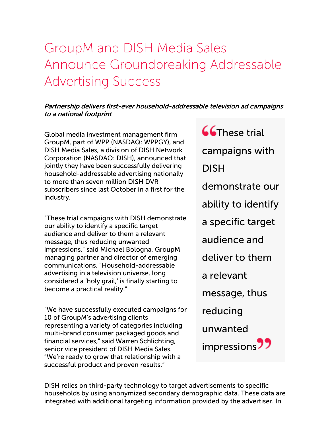## GroupM and DISH Media Sales Announce Groundbreaking Addressable Advertising Success

## Partnership delivers first-ever household-addressable television ad campaigns to <sup>a</sup> national footprint

Global media investment management firm GroupM, part of WPP (NASDAQ: WPPGY), and DISH Media Sales, a division of DISH Network Corporation (NASDAQ: DISH), announced that jointly they have been successfully delivering household-addressable advertising nationally to more than seven million DISH DVR subscribers since last October in a first for the industry.

"These trial campaigns with DISH demonstrate our ability to identify a specific target audience and deliver to them a relevant message, thus reducing unwanted impressions," said Michael Bologna, GroupM managing partner and director of emerging communications. "Household-addressable advertising in a television universe, long considered a 'holy grail,' is finally starting to become a practical reality."

"We have successfully executed campaigns for 10 of GroupM's advertising clients representing a variety of categories including multi-brand consumer packaged goods and financial services," said Warren Schlichting, senior vice president of DISH Media Sales. "We're ready to grow that relationship with a successful product and proven results."

**CC**These trial campaigns with DISH demonstrate our ability to identify a specific target audience and deliver to them a relevant message, thus reducing unwanted impressions<sup>77</sup>

DISH relies on third-party technology to target advertisements to specific households by using anonymized secondary demographic data. These data are integrated with additional targeting information provided by the advertiser. In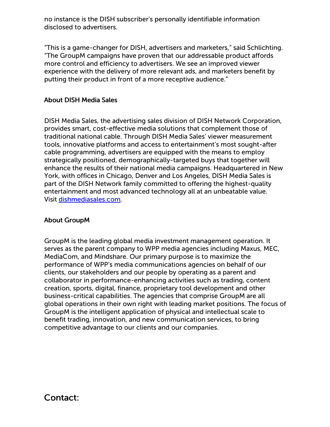no instance is the DISH subscriber's personally identifiable information disclosed to advertisers.

"This is a game-changer for DISH, advertisers and marketers," said Schlichting. "The GroupM campaigns have proven that our addressable product affords more control and efficiency to advertisers. We see an improved viewer experience with the delivery of more relevant ads, and marketers benefit by putting their product in front of a more receptive audience."

## About DISH Media Sales

DISH Media Sales, the advertising sales division of DISH Network Corporation, provides smart, cost-effective media solutions that complement those of traditional national cable. Through DISH Media Sales' viewer measurement tools, innovative platforms and access to entertainment's most sought-after cable programming, advertisers are equipped with the means to employ strategically positioned, demographically-targeted buys that together will enhance the results of their national media campaigns. Headquartered in New York, with offices in Chicago, Denver and Los Angeles, DISH Media Sales is part of the DISH Network family committed to offering the highest-quality entertainment and most advanced technology all at an unbeatable value. Visit [dishmediasales.com](http://cts.businesswire.com/ct/CT?id=smartlink&url=http%3A%2F%2Fwww.dishmediasales.com%2F&esheet=50391828&lan=en-US&anchor=dishmediasales.com&index=1&md5=efc40350822bd4817eaf92020a5dacee).

## About GroupM

GroupM is the leading global media investment management operation. It serves as the parent company to WPP media agencies including Maxus, MEC, MediaCom, and Mindshare. Our primary purpose is to maximize the performance of WPP's media communications agencies on behalf of our clients, our stakeholders and our people by operating as a parent and collaborator in performance-enhancing activities such as trading, content creation, sports, digital, finance, proprietary tool development and other business-critical capabilities. The agencies that comprise GroupM are all global operations in their own right with leading market positions. The focus of GroupM is the intelligent application of physical and intellectual scale to benefit trading, innovation, and new communication services, to bring competitive advantage to our clients and our companies.